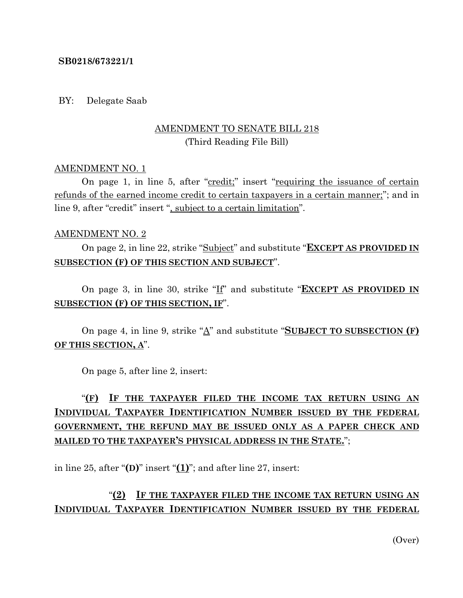#### **SB0218/673221/1**

#### BY: Delegate Saab

### AMENDMENT TO SENATE BILL 218 (Third Reading File Bill)

#### AMENDMENT NO. 1

On page 1, in line 5, after "credit;" insert "requiring the issuance of certain refunds of the earned income credit to certain taxpayers in a certain manner;"; and in line 9, after "credit" insert ", subject to a certain limitation".

#### AMENDMENT NO. 2

On page 2, in line 22, strike "Subject" and substitute "**EXCEPT AS PROVIDED IN SUBSECTION (F) OF THIS SECTION AND SUBJECT**".

On page 3, in line 30, strike "If" and substitute "**EXCEPT AS PROVIDED IN SUBSECTION (F) OF THIS SECTION, IF**".

On page 4, in line 9, strike "A" and substitute "**SUBJECT TO SUBSECTION (F) OF THIS SECTION, A**".

On page 5, after line 2, insert:

# "**(F) IF THE TAXPAYER FILED THE INCOME TAX RETURN USING AN INDIVIDUAL TAXPAYER IDENTIFICATION NUMBER ISSUED BY THE FEDERAL GOVERNMENT, THE REFUND MAY BE ISSUED ONLY AS A PAPER CHECK AND MAILED TO THE TAXPAYER'S PHYSICAL ADDRESS IN THE STATE.**";

in line 25, after " $(D)$ " insert " $(1)$ "; and after line 27, insert:

## "**(2) IF THE TAXPAYER FILED THE INCOME TAX RETURN USING AN INDIVIDUAL TAXPAYER IDENTIFICATION NUMBER ISSUED BY THE FEDERAL**

(Over)